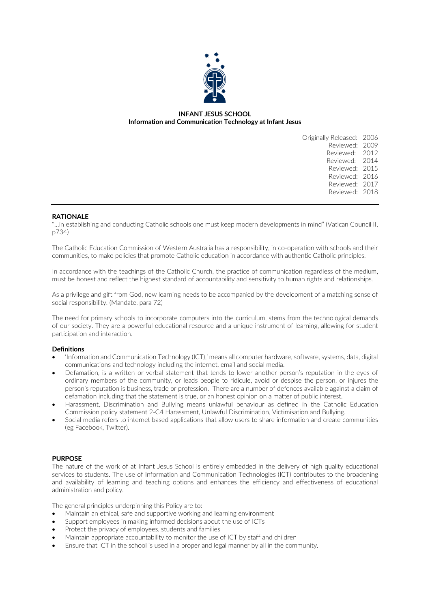

## **INFANT JESUS SCHOOL Information and Communication Technology at Infant Jesus**

| Originally Released: 2006 |      |
|---------------------------|------|
| Reviewed:                 | 2009 |
| Reviewed: 2012            |      |
| Reviewed: 2014            |      |
| Reviewed:                 | 2015 |
| Reviewed: 2016            |      |
| Reviewed: 2017            |      |
| Reviewed: 2018            |      |
|                           |      |

### **RATIONALE**

"…in establishing and conducting Catholic schools one must keep modern developments in mind" (Vatican Council II, p734)

The Catholic Education Commission of Western Australia has a responsibility, in co-operation with schools and their communities, to make policies that promote Catholic education in accordance with authentic Catholic principles.

In accordance with the teachings of the Catholic Church, the practice of communication regardless of the medium, must be honest and reflect the highest standard of accountability and sensitivity to human rights and relationships.

As a privilege and gift from God, new learning needs to be accompanied by the development of a matching sense of social responsibility. (Mandate, para 72)

The need for primary schools to incorporate computers into the curriculum, stems from the technological demands of our society. They are a powerful educational resource and a unique instrument of learning, allowing for student participation and interaction.

### **Definitions**

- 'Information and Communication Technology (ICT),' means all computer hardware, software, systems, data, digital communications and technology including the internet, email and social media.
- Defamation, is a written or verbal statement that tends to lower another person's reputation in the eyes of ordinary members of the community, or leads people to ridicule, avoid or despise the person, or injures the person's reputation is business, trade or profession. There are a number of defences available against a claim of defamation including that the statement is true, or an honest opinion on a matter of public interest.
- Harassment, Discrimination and Bullying means unlawful behaviour as defined in the Catholic Education Commission policy statement 2-C4 Harassment, Unlawful Discrimination, Victimisation and Bullying.
- Social media refers to internet based applications that allow users to share information and create communities (eg Facebook, Twitter).

### **PURPOSE**

The nature of the work of at Infant Jesus School is entirely embedded in the delivery of high quality educational services to students. The use of Information and Communication Technologies (ICT) contributes to the broadening and availability of learning and teaching options and enhances the efficiency and effectiveness of educational administration and policy.

The general principles underpinning this Policy are to:

- Maintain an ethical, safe and supportive working and learning environment
- Support employees in making informed decisions about the use of ICTs
- Protect the privacy of employees, students and families
- Maintain appropriate accountability to monitor the use of ICT by staff and children
- Ensure that ICT in the school is used in a proper and legal manner by all in the community.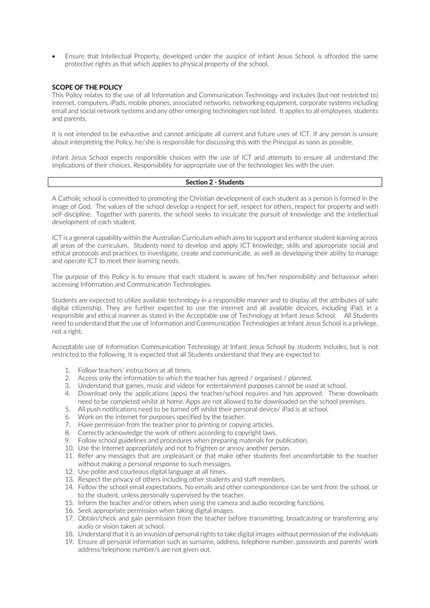• Ensure that Intellectual Property, developed under the auspice of Infant Jesus School, is afforded the same protective rights as that which applies to physical property of the school.

### **SCOPE OF THE POLICY**

This Policy relates to the use of all Information and Communication Technology and includes (but not restricted to) internet, computers, iPads, mobile phones, associated networks, networking equipment, corporate systems including email and social network systems and any other emerging technologies not listed. It applies to all employees, students and parents.

It is not intended to be exhaustive and cannot anticipate all current and future uses of ICT. If any person is unsure about interpreting the Policy, he/she is responsible for discussing this with the Principal as soon as possible.

Infant Jesus School expects responsible choices with the use of ICT and attempts to ensure all understand the implications of their choices. Responsibility for appropriate use of the technologies lies with the user.

#### **Section 2 - Students**

A Catholic school is committed to promoting the Christian development of each student as a person is formed in the image of God. The values of the school develop a respect for self, respect for others, respect for property and with self-discipline. Together with parents, the school seeks to inculcate the pursuit of knowledge and the intellectual development of each student.

ICT is a general capability within the Australian Curriculum which aims to support and enhance student learning across all areas of the curriculum. Students need to develop and apply ICT knowledge, skills and appropriate social and ethical protocols and practices to investigate, create and communicate, as well as developing their ability to manage and operate ICT to meet their learning needs.

The purpose of this Policy is to ensure that each student is aware of his/her responsibility and behaviour when accessing Information and Communication Technologies.

Students are expected to utilize available technology in a responsible manner and to display all the attributes of safe digital citizenship. They are further expected to use the internet and all available devices, including iPad, in a responsible and ethical manner as stated in the Acceptable use of Technology at Infant Jesus School. All Students need to understand that the use of Information and Communication Technologies at Infant Jesus School is a privilege, not a right.

Acceptable use of Information Communication Technology at Infant Jesus School by students includes, but is not restricted to the following. It is expected that all Students understand that they are expected to:

- 1. Follow teachers' instructions at all times.
- 2. Access only the information to which the teacher has agreed / organised / planned.
- 3. Understand that games, music and videos for entertainment purposes cannot be used at school.
- 4. Download only the applications (apps) the teacher/school requires and has approved. These downloads need to be completed whilst at home. Apps are not allowed to be downloaded on the school premises.
- 5. All push notifications need to be turned off whilst their personal device/ iPad is at school.
- 
- 6. Work on the internet for purposes specified by the teacher.<br>7. Have permission from the teacher prior to printing or copying Have permission from the teacher prior to printing or copying articles.
- 8. Correctly acknowledge the work of others according to copyright laws.
- 9. Follow school guidelines and procedures when preparing materials for publication.
- 10. Use the Internet appropriately and not to frighten or annoy another person.
- 11. Refer any messages that are unpleasant or that make other students feel uncomfortable to the teacher without making a personal response to such messages.
- 12. Use polite and courteous digital language at all times.
- 13. Respect the privacy of others including other students and staff members.
- 14. Follow the school email expectations. No emails and other correspondence can be sent from the school, or to the student, unless personally supervised by the teacher.
- 15. Inform the teacher and/or others when using the camera and audio recording functions.
- 16. Seek appropriate permission when taking digital images.
- 17. Obtain/check and gain permission from the teacher before transmitting, broadcasting or transferring any audio or vision taken at school.
- 18. Understand that it is an invasion of personal rights to take digital images without permission of the individuals
- 19. Ensure all personal information such as surname, address, telephone number, passwords and parents' work address/telephone number/s are not given out.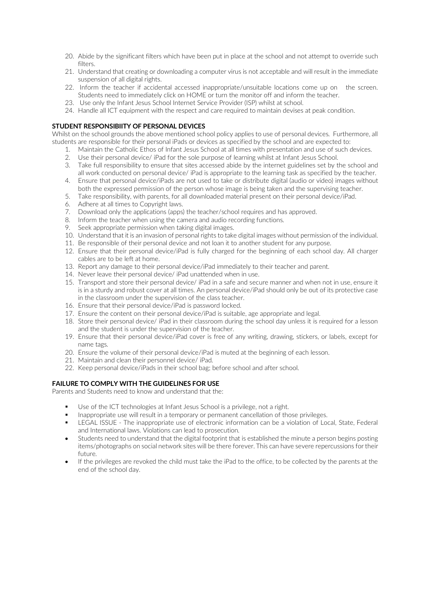- 20. Abide by the significant filters which have been put in place at the school and not attempt to override such filters
- 21. Understand that creating or downloading a computer virus is not acceptable and will result in the immediate suspension of all digital rights.
- 22. Inform the teacher if accidental accessed inappropriate/unsuitable locations come up on the screen. Students need to immediately click on HOME or turn the monitor off and inform the teacher.
- 23. Use only the Infant Jesus School Internet Service Provider (ISP) whilst at school.
- 24. Handle all ICT equipment with the respect and care required to maintain devises at peak condition.

### **STUDENT RESPONSIBIITY OF PERSONAL DEVICES**

Whilst on the school grounds the above mentioned school policy applies to use of personal devices. Furthermore, all students are responsible for their personal iPads or devices as specified by the school and are expected to:

- 1. Maintain the Catholic Ethos of Infant Jesus School at all times with presentation and use of such devices.
- 2. Use their personal device/ iPad for the sole purpose of learning whilst at Infant Jesus School.
- 3. Take full responsibility to ensure that sites accessed abide by the internet guidelines set by the school and all work conducted on personal device/ iPad is appropriate to the learning task as specified by the teacher.
- 4. Ensure that personal device/iPads are not used to take or distribute digital (audio or video) images without both the expressed permission of the person whose image is being taken and the supervising teacher.
- 5. Take responsibility, with parents, for all downloaded material present on their personal device/iPad.
- 6. Adhere at all times to Copyright laws.
- 7. Download only the applications (apps) the teacher/school requires and has approved.
- 8. Inform the teacher when using the camera and audio recording functions.
- 9. Seek appropriate permission when taking digital images.
- 10. Understand that it is an invasion of personal rights to take digital images without permission of the individual.
- 11. Be responsible of their personal device and not loan it to another student for any purpose.
- 12. Ensure that their personal device/iPad is fully charged for the beginning of each school day. All charger cables are to be left at home.
- 13. Report any damage to their personal device/iPad immediately to their teacher and parent.
- 14. Never leave their personal device/ iPad unattended when in use.
- 15. Transport and store their personal device/ iPad in a safe and secure manner and when not in use, ensure it is in a sturdy and robust cover at all times. An personal device/iPad should only be out of its protective case in the classroom under the supervision of the class teacher.
- 16. Ensure that their personal device/iPad is password locked.
- 17. Ensure the content on their personal device/iPad is suitable, age appropriate and legal.
- 18. Store their personal device/ iPad in their classroom during the school day unless it is required for a lesson and the student is under the supervision of the teacher.
- 19. Ensure that their personal device/iPad cover is free of any writing, drawing, stickers, or labels, except for name tags.
- 20. Ensure the volume of their personal device/iPad is muted at the beginning of each lesson.
- 21. Maintain and clean their personnel device/ iPad.
- 22. Keep personal device/iPads in their school bag; before school and after school.

### **FAILURE TO COMPLY WITH THE GUIDELINES FOR USE**

Parents and Students need to know and understand that the:

- Use of the ICT technologies at Infant Jesus School is a privilege, not a right.
- Inappropriate use will result in a temporary or permanent cancellation of those privileges.
- § LEGAL ISSUE The inappropriate use of electronic information can be a violation of Local, State, Federal and International laws. Violations can lead to prosecution.
- Students need to understand that the digital footprint that is established the minute a person begins posting items/photographs on social network sites will be there forever. This can have severe repercussions for their future.
- If the privileges are revoked the child must take the iPad to the office, to be collected by the parents at the end of the school day.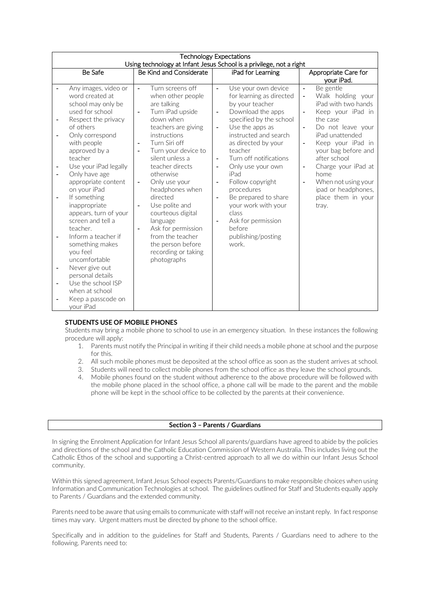| <b>Technology Expectations</b><br>Using technology at Infant Jesus School is a privilege, not a right |                                                                                                                                               |                                                                                                                                                                                                 |                                                                                                                                                                   |                                                                                                                                                                            |
|-------------------------------------------------------------------------------------------------------|-----------------------------------------------------------------------------------------------------------------------------------------------|-------------------------------------------------------------------------------------------------------------------------------------------------------------------------------------------------|-------------------------------------------------------------------------------------------------------------------------------------------------------------------|----------------------------------------------------------------------------------------------------------------------------------------------------------------------------|
|                                                                                                       | Be Safe                                                                                                                                       | Be Kind and Considerate                                                                                                                                                                         | iPad for Learning                                                                                                                                                 | Appropriate Care for<br>your iPad.                                                                                                                                         |
|                                                                                                       | Any images, video or<br>word created at<br>school may only be<br>used for school<br>Respect the privacy                                       | Turn screens off<br>$\blacksquare$<br>when other people<br>are talking<br>Turn iPad upside<br>$\blacksquare$<br>down when                                                                       | Use your own device<br>$\blacksquare$<br>for learning as directed<br>by your teacher<br>Download the apps<br>$\overline{\phantom{a}}$<br>specified by the school  | Be gentle<br>$\overline{\phantom{a}}$<br>Walk holding your<br>$\overline{\phantom{a}}$<br>iPad with two hands<br>Keep your iPad in<br>$\overline{\phantom{a}}$<br>the case |
|                                                                                                       | of others<br>Only correspond<br>with people<br>approved by a<br>teacher                                                                       | teachers are giving<br>instructions<br>Turn Siri off<br>$\blacksquare$<br>Turn your device to<br>$\blacksquare$<br>silent unless a                                                              | Use the apps as<br>$\overline{\phantom{a}}$<br>instructed and search<br>as directed by your<br>teacher<br>Turn off notifications<br>$\overline{\phantom{a}}$      | Do not leave your<br>$\blacksquare$<br>iPad unattended<br>Keep your iPad in<br>$\overline{\phantom{a}}$<br>your bag before and<br>after school                             |
|                                                                                                       | Use your iPad legally<br>Only have age<br>appropriate content<br>on your iPad                                                                 | teacher directs<br>otherwise<br>Only use your<br>$\blacksquare$<br>headphones when                                                                                                              | Only use your own<br>$\overline{\phantom{a}}$<br>iPad<br>Follow copyright<br>$\blacksquare$<br>procedures                                                         | Charge your iPad at<br>$\overline{\phantom{a}}$<br>home<br>When not using your<br>÷,<br>ipad or headphones,                                                                |
|                                                                                                       | If something<br>inappropriate<br>appears, turn of your<br>screen and tell a<br>teacher.<br>Inform a teacher if<br>something makes<br>you feel | directed<br>Use polite and<br>$\blacksquare$<br>courteous digital<br>language<br>Ask for permission<br>$\overline{\phantom{a}}$<br>from the teacher<br>the person before<br>recording or taking | Be prepared to share<br>$\blacksquare$<br>your work with your<br>class<br>Ask for permission<br>$\overline{\phantom{a}}$<br>before<br>publishing/posting<br>work. | place them in your<br>tray.                                                                                                                                                |
| $\overline{\phantom{a}}$                                                                              | uncomfortable<br>Never give out<br>personal details<br>Use the school ISP<br>when at school<br>Keep a passcode on<br>your iPad                | photographs                                                                                                                                                                                     |                                                                                                                                                                   |                                                                                                                                                                            |

# **STUDENTS USE OF MOBILE PHONES**

Students may bring a mobile phone to school to use in an emergency situation. In these instances the following procedure will apply:

- 1. Parents must notify the Principal in writing if their child needs a mobile phone at school and the purpose for this.
- 2. All such mobile phones must be deposited at the school office as soon as the student arrives at school.<br>3. Students will need to collect mobile phones from the school office as they leave the school grounds.
- Students will need to collect mobile phones from the school office as they leave the school grounds.
- 4. Mobile phones found on the student without adherence to the above procedure will be followed with the mobile phone placed in the school office, a phone call will be made to the parent and the mobile phone will be kept in the school office to be collected by the parents at their convenience.

### **Section 3 – Parents / Guardians**

In signing the Enrolment Application for Infant Jesus School all parents/guardians have agreed to abide by the policies and directions of the school and the Catholic Education Commission of Western Australia. This includes living out the Catholic Ethos of the school and supporting a Christ-centred approach to all we do within our Infant Jesus School community.

Within this signed agreement, Infant Jesus School expects Parents/Guardians to make responsible choices when using Information and Communication Technologies at school. The guidelines outlined for Staff and Students equally apply to Parents / Guardians and the extended community.

Parents need to be aware that using emails to communicate with staff will not receive an instant reply. In fact response times may vary. Urgent matters must be directed by phone to the school office.

Specifically and in addition to the guidelines for Staff and Students, Parents / Guardians need to adhere to the following. Parents need to: